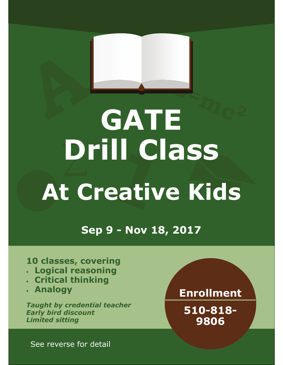# **E=mc<sup>2</sup> ∑ At Creative Kids GATE Drill Class**

**Sep 9 - Nov 18, 2017** 

## **10 classes, covering**

- **Logical reasoning**
- **Critical thinking**
- **Analogy**

*Taught by credential teacher Early bird discount Limited sitting* 

# **Enrollment**

**510-818- 9806** 

See reverse for detail